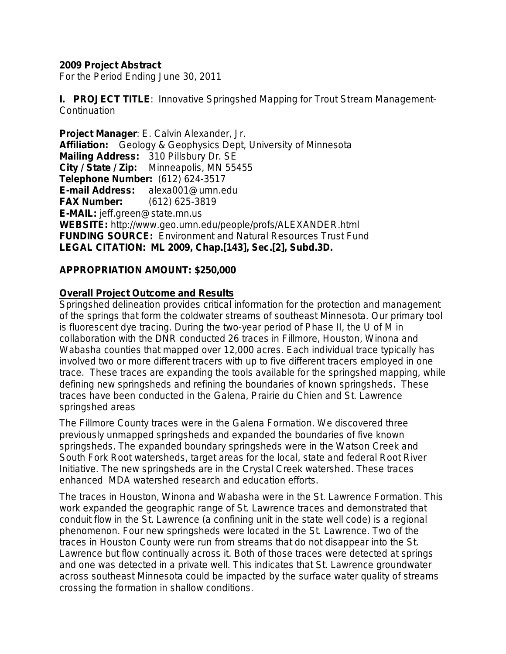## **2009 Project Abstract**

For the Period Ending June 30, 2011

**I. PROJECT TITLE**: Innovative Springshed Mapping for Trout Stream Management-**Continuation** 

**Project Manager**: E. Calvin Alexander, Jr. **Affiliation:** Geology & Geophysics Dept, University of Minnesota **Mailing Address:** 310 Pillsbury Dr. SE **City / State / Zip:** Minneapolis, MN 55455 **Telephone Number:** (612) 624-3517 **E-mail Address:** alexa001@umn.edu **FAX Number:** (612) 625-3819 **E-MAIL:** jeff.green@state.mn.us **WEBSITE:** http://www.geo.umn.edu/people/profs/ALEXANDER.html **FUNDING SOURCE:** Environment and Natural Resources Trust Fund **LEGAL CITATION: ML 2009, Chap.[143], Sec.[2], Subd.3D.**

# **APPROPRIATION AMOUNT: \$250,000**

## **Overall Project Outcome and Results**

Springshed delineation provides critical information for the protection and management of the springs that form the coldwater streams of southeast Minnesota. Our primary tool is fluorescent dye tracing. During the two-year period of Phase II, the U of M in collaboration with the DNR conducted 26 traces in Fillmore, Houston, Winona and Wabasha counties that mapped over 12,000 acres. Each individual trace typically has involved two or more different tracers with up to five different tracers employed in one trace. These traces are expanding the tools available for the springshed mapping, while defining new springsheds and refining the boundaries of known springsheds. These traces have been conducted in the Galena, Prairie du Chien and St. Lawrence springshed areas

The Fillmore County traces were in the Galena Formation. We discovered three previously unmapped springsheds and expanded the boundaries of five known springsheds. The expanded boundary springsheds were in the Watson Creek and South Fork Root watersheds, target areas for the local, state and federal Root River Initiative. The new springsheds are in the Crystal Creek watershed. These traces enhanced MDA watershed research and education efforts.

The traces in Houston, Winona and Wabasha were in the St. Lawrence Formation. This work expanded the geographic range of St. Lawrence traces and demonstrated that conduit flow in the St. Lawrence (a confining unit in the state well code) is a regional phenomenon. Four new springsheds were located in the St. Lawrence. Two of the traces in Houston County were run from streams that do not disappear into the St. Lawrence but flow continually across it. Both of those traces were detected at springs and one was detected in a private well. This indicates that St. Lawrence groundwater across southeast Minnesota could be impacted by the surface water quality of streams crossing the formation in shallow conditions.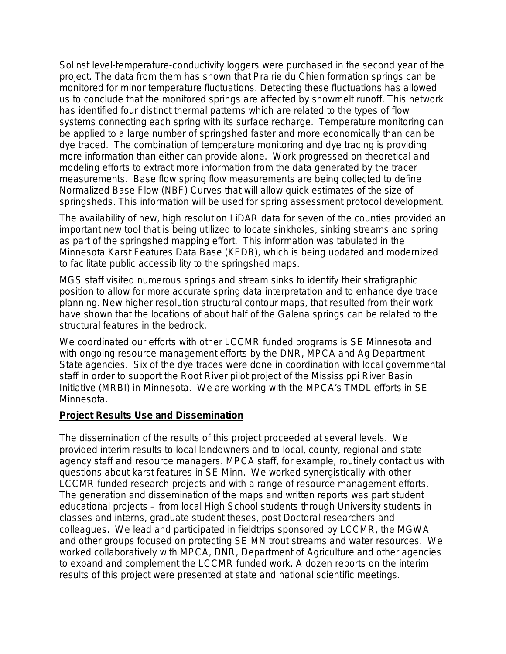Solinst level-temperature-conductivity loggers were purchased in the second year of the project. The data from them has shown that Prairie du Chien formation springs can be monitored for minor temperature fluctuations. Detecting these fluctuations has allowed us to conclude that the monitored springs are affected by snowmelt runoff. This network has identified four distinct thermal patterns which are related to the types of flow systems connecting each spring with its surface recharge. Temperature monitoring can be applied to a large number of springshed faster and more economically than can be dye traced. The combination of temperature monitoring and dye tracing is providing more information than either can provide alone. Work progressed on theoretical and modeling efforts to extract more information from the data generated by the tracer measurements. Base flow spring flow measurements are being collected to define Normalized Base Flow (NBF) Curves that will allow quick estimates of the size of springsheds. This information will be used for spring assessment protocol development.

The availability of new, high resolution LiDAR data for seven of the counties provided an important new tool that is being utilized to locate sinkholes, sinking streams and spring as part of the springshed mapping effort. This information was tabulated in the Minnesota Karst Features Data Base (KFDB), which is being updated and modernized to facilitate public accessibility to the springshed maps.

MGS staff visited numerous springs and stream sinks to identify their stratigraphic position to allow for more accurate spring data interpretation and to enhance dye trace planning. New higher resolution structural contour maps, that resulted from their work have shown that the locations of about half of the Galena springs can be related to the structural features in the bedrock.

We coordinated our efforts with other LCCMR funded programs is SE Minnesota and with ongoing resource management efforts by the DNR, MPCA and Ag Department State agencies. Six of the dye traces were done in coordination with local governmental staff in order to support the Root River pilot project of the Mississippi River Basin Initiative (MRBI) in Minnesota. We are working with the MPCA's TMDL efforts in SE Minnesota.

## **Project Results Use and Dissemination**

The dissemination of the results of this project proceeded at several levels. We provided interim results to local landowners and to local, county, regional and state agency staff and resource managers. MPCA staff, for example, routinely contact us with questions about karst features in SE Minn. We worked synergistically with other LCCMR funded research projects and with a range of resource management efforts. The generation and dissemination of the maps and written reports was part student educational projects – from local High School students through University students in classes and interns, graduate student theses, post Doctoral researchers and colleagues. We lead and participated in fieldtrips sponsored by LCCMR, the MGWA and other groups focused on protecting SE MN trout streams and water resources. We worked collaboratively with MPCA, DNR, Department of Agriculture and other agencies to expand and complement the LCCMR funded work. A dozen reports on the interim results of this project were presented at state and national scientific meetings.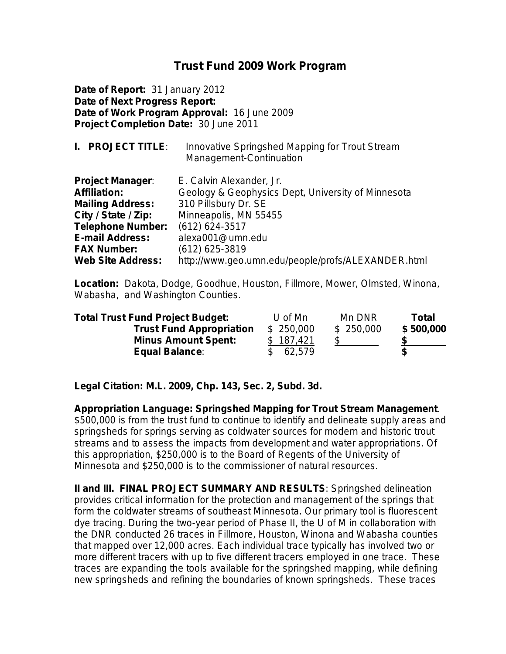# **Trust Fund 2009 Work Program**

**Date of Report:** 31 January 2012 **Date of Next Progress Report: Date of Work Program Approval:** 16 June 2009 **Project Completion Date:** 30 June 2011

| <b>I. PROJECT TITLE:</b> | Innovative Springshed Mapping for Trout Stream<br>Management-Continuation |
|--------------------------|---------------------------------------------------------------------------|
| <b>Project Manager:</b>  | E. Calvin Alexander, Jr.                                                  |
| <b>Affiliation:</b>      | Geology & Geophysics Dept, University of Minnesota                        |
| <b>Mailing Address:</b>  | 310 Pillsbury Dr. SE                                                      |
| City / State / Zip:      | Minneapolis, MN 55455                                                     |
| <b>Telephone Number:</b> | (612) 624-3517                                                            |
| <b>E-mail Address:</b>   | alexa001@umn.edu                                                          |
| <b>FAX Number:</b>       | (612) 625-3819                                                            |
| <b>Web Site Address:</b> | http://www.geo.umn.edu/people/profs/ALEXANDER.html                        |

**Location:**Dakota, Dodge, Goodhue, Houston, Fillmore, Mower, Olmsted, Winona, Wabasha, and Washington Counties.

| <b>Total Trust Fund Project Budget:</b> | U of Mn   | Mn DNR    | Total     |  |
|-----------------------------------------|-----------|-----------|-----------|--|
| <b>Trust Fund Appropriation</b>         | \$250,000 | \$250,000 | \$500,000 |  |
| <b>Minus Amount Spent:</b>              | \$187.421 |           |           |  |
| <b>Equal Balance:</b>                   | \$62,579  |           | S         |  |

**Legal Citation: M.L. 2009, Chp. 143, Sec. 2, Subd. 3d.**

**Appropriation Language: Springshed Mapping for Trout Stream Management**. \$500,000 is from the trust fund to continue to identify and delineate supply areas and springsheds for springs serving as coldwater sources for modern and historic trout streams and to assess the impacts from development and water appropriations. Of this appropriation, \$250,000 is to the Board of Regents of the University of Minnesota and \$250,000 is to the commissioner of natural resources.

**II and III. FINAL PROJECT SUMMARY AND RESULTS**: Springshed delineation provides critical information for the protection and management of the springs that form the coldwater streams of southeast Minnesota. Our primary tool is fluorescent dye tracing. During the two-year period of Phase II, the U of M in collaboration with the DNR conducted 26 traces in Fillmore, Houston, Winona and Wabasha counties that mapped over 12,000 acres. Each individual trace typically has involved two or more different tracers with up to five different tracers employed in one trace. These traces are expanding the tools available for the springshed mapping, while defining new springsheds and refining the boundaries of known springsheds. These traces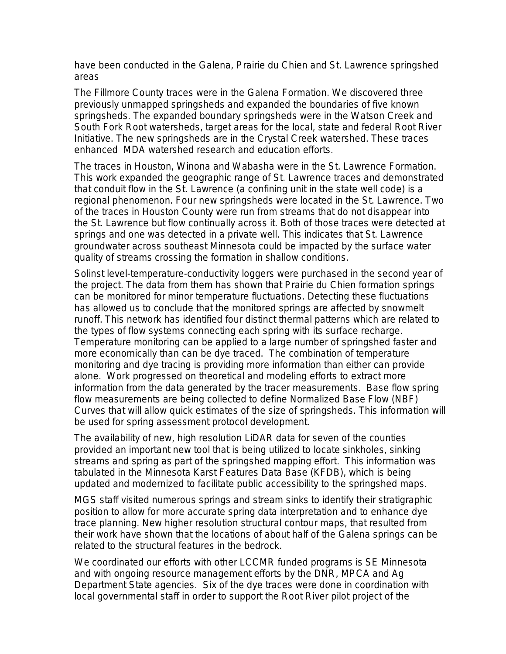have been conducted in the Galena, Prairie du Chien and St. Lawrence springshed areas

The Fillmore County traces were in the Galena Formation. We discovered three previously unmapped springsheds and expanded the boundaries of five known springsheds. The expanded boundary springsheds were in the Watson Creek and South Fork Root watersheds, target areas for the local, state and federal Root River Initiative. The new springsheds are in the Crystal Creek watershed. These traces enhanced MDA watershed research and education efforts.

The traces in Houston, Winona and Wabasha were in the St. Lawrence Formation. This work expanded the geographic range of St. Lawrence traces and demonstrated that conduit flow in the St. Lawrence (a confining unit in the state well code) is a regional phenomenon. Four new springsheds were located in the St. Lawrence. Two of the traces in Houston County were run from streams that do not disappear into the St. Lawrence but flow continually across it. Both of those traces were detected at springs and one was detected in a private well. This indicates that St. Lawrence groundwater across southeast Minnesota could be impacted by the surface water quality of streams crossing the formation in shallow conditions.

Solinst level-temperature-conductivity loggers were purchased in the second year of the project. The data from them has shown that Prairie du Chien formation springs can be monitored for minor temperature fluctuations. Detecting these fluctuations has allowed us to conclude that the monitored springs are affected by snowmelt runoff. This network has identified four distinct thermal patterns which are related to the types of flow systems connecting each spring with its surface recharge. Temperature monitoring can be applied to a large number of springshed faster and more economically than can be dye traced. The combination of temperature monitoring and dye tracing is providing more information than either can provide alone. Work progressed on theoretical and modeling efforts to extract more information from the data generated by the tracer measurements. Base flow spring flow measurements are being collected to define Normalized Base Flow (NBF) Curves that will allow quick estimates of the size of springsheds. This information will be used for spring assessment protocol development.

The availability of new, high resolution LiDAR data for seven of the counties provided an important new tool that is being utilized to locate sinkholes, sinking streams and spring as part of the springshed mapping effort. This information was tabulated in the Minnesota Karst Features Data Base (KFDB), which is being updated and modernized to facilitate public accessibility to the springshed maps.

MGS staff visited numerous springs and stream sinks to identify their stratigraphic position to allow for more accurate spring data interpretation and to enhance dye trace planning. New higher resolution structural contour maps, that resulted from their work have shown that the locations of about half of the Galena springs can be related to the structural features in the bedrock.

We coordinated our efforts with other LCCMR funded programs is SE Minnesota and with ongoing resource management efforts by the DNR, MPCA and Ag Department State agencies. Six of the dye traces were done in coordination with local governmental staff in order to support the Root River pilot project of the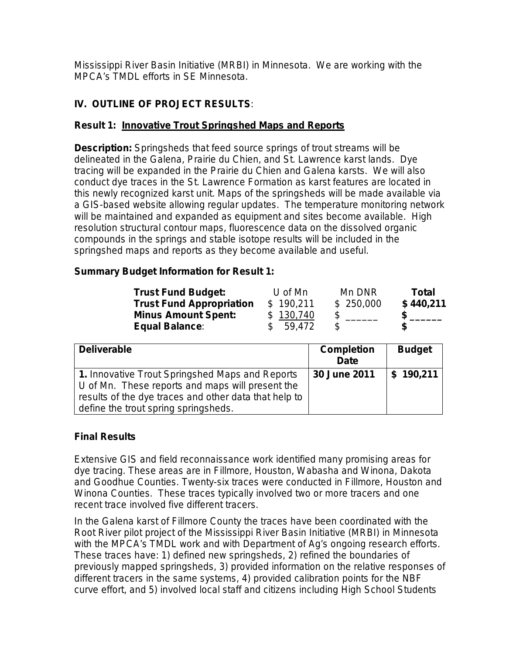Mississippi River Basin Initiative (MRBI) in Minnesota. We are working with the MPCA's TMDL efforts in SE Minnesota.

# **IV. OUTLINE OF PROJECT RESULTS***:*

# **Result 1: Innovative Trout Springshed Maps and Reports**

**Description:** Springsheds that feed source springs of trout streams will be delineated in the Galena, Prairie du Chien, and St. Lawrence karst lands. Dye tracing will be expanded in the Prairie du Chien and Galena karsts. We will also conduct dye traces in the St. Lawrence Formation as karst features are located in this newly recognized karst unit. Maps of the springsheds will be made available via a GIS-based website allowing regular updates. The temperature monitoring network will be maintained and expanded as equipment and sites become available. High resolution structural contour maps, fluorescence data on the dissolved organic compounds in the springs and stable isotope results will be included in the springshed maps and reports as they become available and useful.

# **Summary Budget Information for Result 1:**

| <b>Trust Fund Budget:</b>       | U of $Mn$ | Mn DNR    | Total     |
|---------------------------------|-----------|-----------|-----------|
| <b>Trust Fund Appropriation</b> | \$190,211 | \$250,000 | \$440,211 |
| <b>Minus Amount Spent:</b>      | \$130,740 |           |           |
| Equal Balance:                  | \$59,472  | \$.       |           |

| <b>Deliverable</b>                                                                                                                                                                                   | <b>Completion</b><br>Date | <b>Budget</b> |
|------------------------------------------------------------------------------------------------------------------------------------------------------------------------------------------------------|---------------------------|---------------|
| 1. Innovative Trout Springshed Maps and Reports<br>U of Mn. These reports and maps will present the<br>results of the dye traces and other data that help to<br>define the trout spring springsheds. | 30 June 2011              | 190,211<br>\$ |

# **Final Results**

Extensive GIS and field reconnaissance work identified many promising areas for dye tracing. These areas are in Fillmore, Houston, Wabasha and Winona, Dakota and Goodhue Counties. Twenty-six traces were conducted in Fillmore, Houston and Winona Counties. These traces typically involved two or more tracers and one recent trace involved five different tracers.

In the Galena karst of Fillmore County the traces have been coordinated with the Root River pilot project of the Mississippi River Basin Initiative (MRBI) in Minnesota with the MPCA's TMDL work and with Department of Ag's ongoing research efforts. These traces have: 1) defined new springsheds, 2) refined the boundaries of previously mapped springsheds, 3) provided information on the relative responses of different tracers in the same systems, 4) provided calibration points for the NBF curve effort, and 5) involved local staff and citizens including High School Students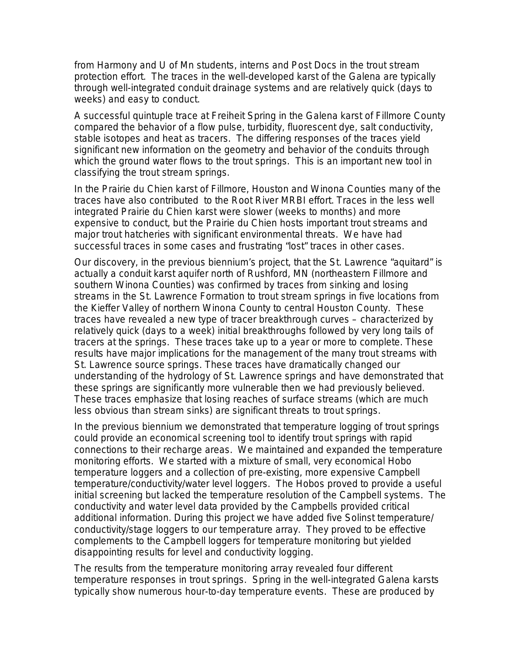from Harmony and U of Mn students, interns and Post Docs in the trout stream protection effort. The traces in the well-developed karst of the Galena are typically through well-integrated conduit drainage systems and are relatively quick (days to weeks) and easy to conduct.

A successful quintuple trace at Freiheit Spring in the Galena karst of Fillmore County compared the behavior of a flow pulse, turbidity, fluorescent dye, salt conductivity, stable isotopes and heat as tracers. The differing responses of the traces yield significant new information on the geometry and behavior of the conduits through which the ground water flows to the trout springs. This is an important new tool in classifying the trout stream springs.

In the Prairie du Chien karst of Fillmore, Houston and Winona Counties many of the traces have also contributed to the Root River MRBI effort. Traces in the less well integrated Prairie du Chien karst were slower (weeks to months) and more expensive to conduct, but the Prairie du Chien hosts important trout streams and major trout hatcheries with significant environmental threats. We have had successful traces in some cases and frustrating "lost" traces in other cases.

Our discovery, in the previous biennium's project, that the St. Lawrence "aquitard" is actually a conduit karst aquifer north of Rushford, MN (northeastern Fillmore and southern Winona Counties) was confirmed by traces from sinking and losing streams in the St. Lawrence Formation to trout stream springs in five locations from the Kieffer Valley of northern Winona County to central Houston County. These traces have revealed a new type of tracer breakthrough curves – characterized by relatively quick (days to a week) initial breakthroughs followed by very long tails of tracers at the springs. These traces take up to a year or more to complete. These results have major implications for the management of the many trout streams with St. Lawrence source springs. These traces have dramatically changed our understanding of the hydrology of St. Lawrence springs and have demonstrated that these springs are significantly more vulnerable then we had previously believed. These traces emphasize that losing reaches of surface streams (which are much less obvious than stream sinks) are significant threats to trout springs.

In the previous biennium we demonstrated that temperature logging of trout springs could provide an economical screening tool to identify trout springs with rapid connections to their recharge areas. We maintained and expanded the temperature monitoring efforts. We started with a mixture of small, very economical Hobo temperature loggers and a collection of pre-existing, more expensive Campbell temperature/conductivity/water level loggers. The Hobos proved to provide a useful initial screening but lacked the temperature resolution of the Campbell systems. The conductivity and water level data provided by the Campbells provided critical additional information. During this project we have added five Solinst temperature/ conductivity/stage loggers to our temperature array. They proved to be effective complements to the Campbell loggers for temperature monitoring but yielded disappointing results for level and conductivity logging.

The results from the temperature monitoring array revealed four different temperature responses in trout springs. Spring in the well-integrated Galena karsts typically show numerous hour-to-day temperature events. These are produced by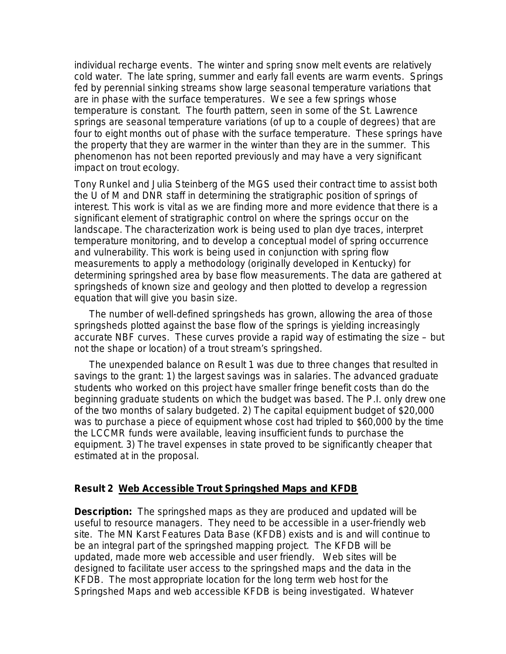individual recharge events. The winter and spring snow melt events are relatively cold water. The late spring, summer and early fall events are warm events. Springs fed by perennial sinking streams show large seasonal temperature variations that are in phase with the surface temperatures. We see a few springs whose temperature is constant. The fourth pattern, seen in some of the St. Lawrence springs are seasonal temperature variations (of up to a couple of degrees) that are four to eight months out of phase with the surface temperature. These springs have the property that they are warmer in the winter than they are in the summer. This phenomenon has not been reported previously and may have a very significant impact on trout ecology.

Tony Runkel and Julia Steinberg of the MGS used their contract time to assist both the U of M and DNR staff in determining the stratigraphic position of springs of interest. This work is vital as we are finding more and more evidence that there is a significant element of stratigraphic control on where the springs occur on the landscape. The characterization work is being used to plan dye traces, interpret temperature monitoring, and to develop a conceptual model of spring occurrence and vulnerability. This work is being used in conjunction with spring flow measurements to apply a methodology (originally developed in Kentucky) for determining springshed area by base flow measurements. The data are gathered at springsheds of known size and geology and then plotted to develop a regression equation that will give you basin size.

The number of well-defined springsheds has grown, allowing the area of those springsheds plotted against the base flow of the springs is yielding increasingly accurate NBF curves. These curves provide a rapid way of estimating the size – but not the shape or location) of a trout stream's springshed.

The unexpended balance on Result 1 was due to three changes that resulted in savings to the grant: 1) the largest savings was in salaries. The advanced graduate students who worked on this project have smaller fringe benefit costs than do the beginning graduate students on which the budget was based. The P.I. only drew one of the two months of salary budgeted. 2) The capital equipment budget of \$20,000 was to purchase a piece of equipment whose cost had tripled to \$60,000 by the time the LCCMR funds were available, leaving insufficient funds to purchase the equipment. 3) The travel expenses in state proved to be significantly cheaper that estimated at in the proposal.

#### **Result 2 Web Accessible Trout Springshed Maps and KFDB**

**Description:** The springshed maps as they are produced and updated will be useful to resource managers. They need to be accessible in a user-friendly web site. The MN Karst Features Data Base (KFDB) exists and is and will continue to be an integral part of the springshed mapping project. The KFDB will be updated, made more web accessible and user friendly. Web sites will be designed to facilitate user access to the springshed maps and the data in the KFDB. The most appropriate location for the long term web host for the Springshed Maps and web accessible KFDB is being investigated. Whatever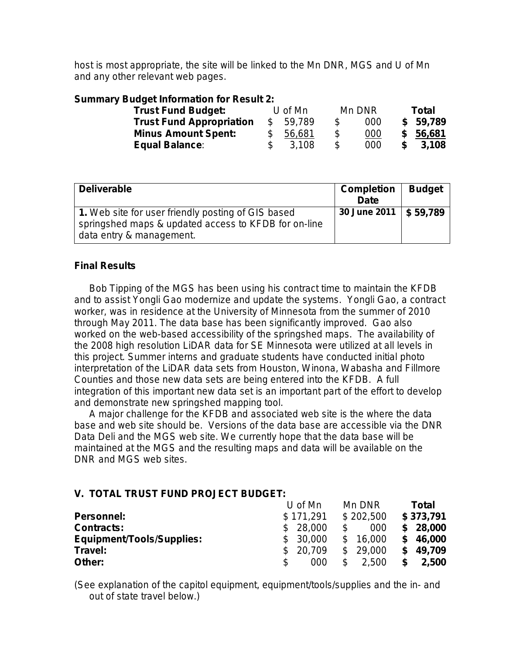host is most appropriate, the site will be linked to the Mn DNR, MGS and U of Mn and any other relevant web pages.

### **Summary Budget Information for Result 2:**

| <b>Trust Fund Budget:</b>       | U of Mn |        | Mn DNR       |     | Total |          |
|---------------------------------|---------|--------|--------------|-----|-------|----------|
| <b>Trust Fund Appropriation</b> | \$      | 59,789 | S.           | 000 |       | \$59,789 |
| <b>Minus Amount Spent:</b>      |         | 56,681 | \$           | 000 |       | \$56,681 |
| <b>Equal Balance:</b>           |         | 3.108  | $\mathbb{S}$ | 000 | -SS   | 3.108    |

| <b>Deliverable</b>                                                                                                                     | <b>Completion</b><br><b>Date</b> | <b>Budget</b> |
|----------------------------------------------------------------------------------------------------------------------------------------|----------------------------------|---------------|
| 1. Web site for user friendly posting of GIS based<br>springshed maps & updated access to KFDB for on-line<br>data entry & management. | 30 June 2011   \$ 59,789         |               |

## **Final Results**

Bob Tipping of the MGS has been using his contract time to maintain the KFDB and to assist Yongli Gao modernize and update the systems. Yongli Gao, a contract worker, was in residence at the University of Minnesota from the summer of 2010 through May 2011. The data base has been significantly improved. Gao also worked on the web-based accessibility of the springshed maps. The availability of the 2008 high resolution LiDAR data for SE Minnesota were utilized at all levels in this project. Summer interns and graduate students have conducted initial photo interpretation of the LiDAR data sets from Houston, Winona, Wabasha and Fillmore Counties and those new data sets are being entered into the KFDB. A full integration of this important new data set is an important part of the effort to develop and demonstrate new springshed mapping tool.

A major challenge for the KFDB and associated web site is the where the data base and web site should be. Versions of the data base are accessible via the DNR Data Deli and the MGS web site. We currently hope that the data base will be maintained at the MGS and the resulting maps and data will be available on the DNR and MGS web sites.

# **V. TOTAL TRUST FUND PROJECT BUDGET:**

|                                  | U of Mn      | Mn DNR       | Total<br>\$373,791 |  |  |
|----------------------------------|--------------|--------------|--------------------|--|--|
| <b>Personnel:</b>                | \$171,291    | \$202,500    |                    |  |  |
| <b>Contracts:</b>                | 28,000<br>\$ | 000          | 28,000             |  |  |
| <b>Equipment/Tools/Supplies:</b> | 30.000<br>\$ | \$<br>16,000 | S<br>46,000        |  |  |
| Travel:                          | \$<br>20,709 | \$<br>29,000 | \$<br>49,709       |  |  |
| Other:                           | \$<br>000    | 2,500        | \$<br>2,500        |  |  |

(See explanation of the capitol equipment, equipment/tools/supplies and the in- and out of state travel below.)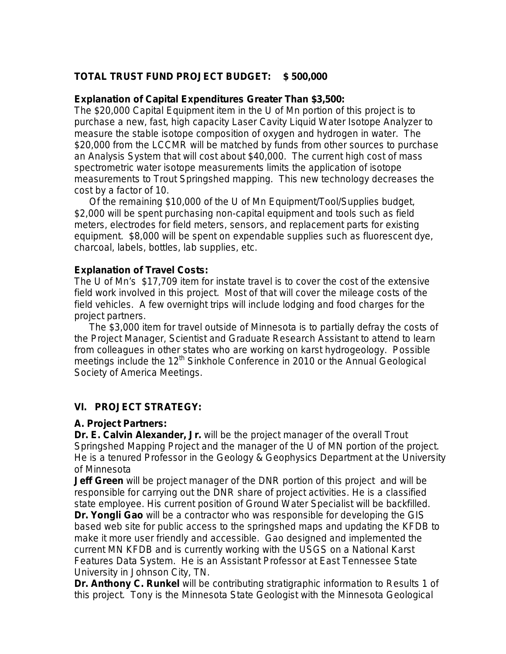# **TOTAL TRUST FUND PROJECT BUDGET: \$ 500,000**

#### **Explanation of Capital Expenditures Greater Than \$3,500:**

The \$20,000 Capital Equipment item in the U of Mn portion of this project is to purchase a new, fast, high capacity Laser Cavity Liquid Water Isotope Analyzer to measure the stable isotope composition of oxygen and hydrogen in water. The \$20,000 from the LCCMR will be matched by funds from other sources to purchase an Analysis System that will cost about \$40,000. The current high cost of mass spectrometric water isotope measurements limits the application of isotope measurements to Trout Springshed mapping. This new technology decreases the cost by a factor of 10.

Of the remaining \$10,000 of the U of Mn Equipment/Tool/Supplies budget, \$2,000 will be spent purchasing non-capital equipment and tools such as field meters, electrodes for field meters, sensors, and replacement parts for existing equipment. \$8,000 will be spent on expendable supplies such as fluorescent dye, charcoal, labels, bottles, lab supplies, etc.

### **Explanation of Travel Costs:**

The U of Mn's \$17,709 item for instate travel is to cover the cost of the extensive field work involved in this project. Most of that will cover the mileage costs of the field vehicles. A few overnight trips will include lodging and food charges for the project partners.

The \$3,000 item for travel outside of Minnesota is to partially defray the costs of the Project Manager, Scientist and Graduate Research Assistant to attend to learn from colleagues in other states who are working on karst hydrogeology. Possible meetings include the 12<sup>th</sup> Sinkhole Conference in 2010 or the Annual Geological Society of America Meetings.

## **VI. PROJECT STRATEGY:**

#### **A. Project Partners:**

**Dr. E. Calvin Alexander, Jr.** will be the project manager of the overall Trout Springshed Mapping Project and the manager of the U of MN portion of the project. He is a tenured Professor in the Geology & Geophysics Department at the University of Minnesota

**Jeff Green** will be project manager of the DNR portion of this project and will be responsible for carrying out the DNR share of project activities. He is a classified state employee. His current position of Ground Water Specialist will be backfilled. **Dr. Yongli Gao** will be a contractor who was responsible for developing the GIS based web site for public access to the springshed maps and updating the KFDB to make it more user friendly and accessible. Gao designed and implemented the current MN KFDB and is currently working with the USGS on a National Karst Features Data System. He is an Assistant Professor at East Tennessee State University in Johnson City, TN.

**Dr. Anthony C. Runkel** will be contributing stratigraphic information to Results 1 of this project. Tony is the Minnesota State Geologist with the Minnesota Geological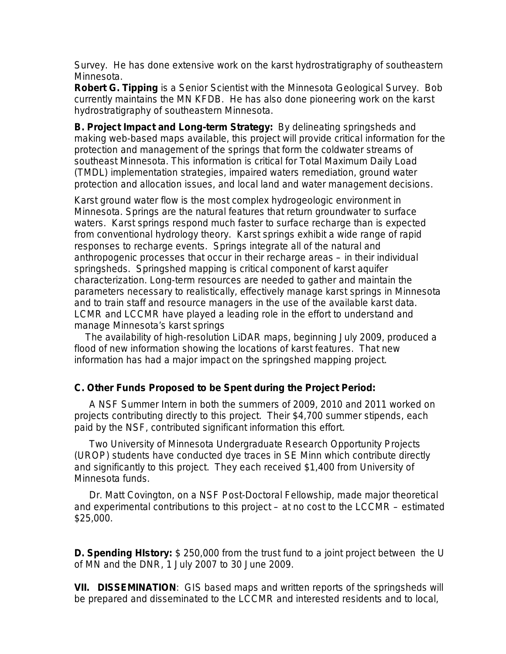Survey. He has done extensive work on the karst hydrostratigraphy of southeastern Minnesota.

**Robert G. Tipping** is a Senior Scientist with the Minnesota Geological Survey. Bob currently maintains the MN KFDB. He has also done pioneering work on the karst hydrostratigraphy of southeastern Minnesota.

**B. Project Impact and Long-term Strategy:** By delineating springsheds and making web-based maps available, this project will provide critical information for the protection and management of the springs that form the coldwater streams of southeast Minnesota. This information is critical for Total Maximum Daily Load (TMDL) implementation strategies, impaired waters remediation, ground water protection and allocation issues, and local land and water management decisions.

Karst ground water flow is the most complex hydrogeologic environment in Minnesota. Springs are the natural features that return groundwater to surface waters. Karst springs respond much faster to surface recharge than is expected from conventional hydrology theory. Karst springs exhibit a wide range of rapid responses to recharge events. Springs integrate all of the natural and anthropogenic processes that occur in their recharge areas – in their individual springsheds. Springshed mapping is critical component of karst aquifer characterization. Long-term resources are needed to gather and maintain the parameters necessary to realistically, effectively manage karst springs in Minnesota and to train staff and resource managers in the use of the available karst data. LCMR and LCCMR have played a leading role in the effort to understand and manage Minnesota's karst springs

 The availability of high-resolution LiDAR maps, beginning July 2009, produced a flood of new information showing the locations of karst features. That new information has had a major impact on the springshed mapping project.

## **C. Other Funds Proposed to be Spent during the Project Period:**

A NSF Summer Intern in both the summers of 2009, 2010 and 2011 worked on projects contributing directly to this project. Their \$4,700 summer stipends, each paid by the NSF, contributed significant information this effort.

Two University of Minnesota Undergraduate Research Opportunity Projects (UROP) students have conducted dye traces in SE Minn which contribute directly and significantly to this project. They each received \$1,400 from University of Minnesota funds.

Dr. Matt Covington, on a NSF Post-Doctoral Fellowship, made major theoretical and experimental contributions to this project – at no cost to the LCCMR – estimated \$25,000.

**D. Spending HIstory***:* \$ 250,000 from the trust fund to a joint project between the U of MN and the DNR, 1 July 2007 to 30 June 2009.

**VII. DISSEMINATION**:GIS based maps and written reports of the springsheds will be prepared and disseminated to the LCCMR and interested residents and to local,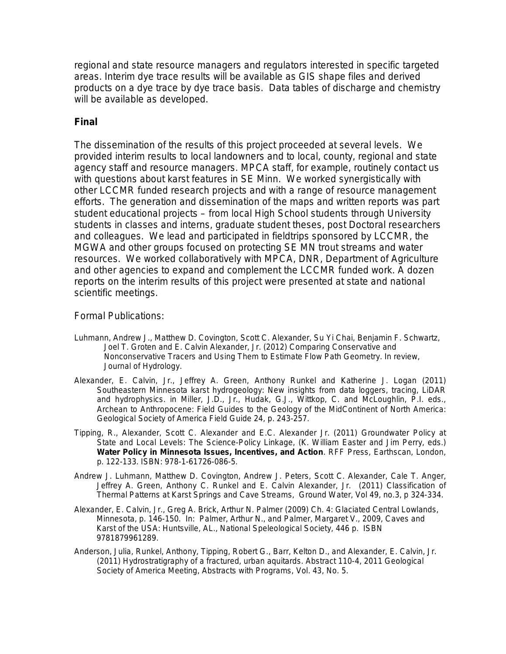regional and state resource managers and regulators interested in specific targeted areas. Interim dye trace results will be available as GIS shape files and derived products on a dye trace by dye trace basis. Data tables of discharge and chemistry will be available as developed.

## **Final**

The dissemination of the results of this project proceeded at several levels. We provided interim results to local landowners and to local, county, regional and state agency staff and resource managers. MPCA staff, for example, routinely contact us with questions about karst features in SE Minn. We worked synergistically with other LCCMR funded research projects and with a range of resource management efforts. The generation and dissemination of the maps and written reports was part student educational projects – from local High School students through University students in classes and interns, graduate student theses, post Doctoral researchers and colleagues. We lead and participated in fieldtrips sponsored by LCCMR, the MGWA and other groups focused on protecting SE MN trout streams and water resources. We worked collaboratively with MPCA, DNR, Department of Agriculture and other agencies to expand and complement the LCCMR funded work. A dozen reports on the interim results of this project were presented at state and national scientific meetings.

#### Formal Publications:

- Luhmann, Andrew J., Matthew D. Covington, Scott C. Alexander, Su Yi Chai, Benjamin F. Schwartz, Joel T. Groten and E. Calvin Alexander, Jr. (2012) Comparing Conservative and Nonconservative Tracers and Using Them to Estimate Flow Path Geometry. In review, Journal of Hydrology.
- Alexander, E. Calvin, Jr., Jeffrey A. Green, Anthony Runkel and Katherine J. Logan (2011) Southeastern Minnesota karst hydrogeology: New insights from data loggers, tracing, LiDAR and hydrophysics. *in* Miller, J.D., Jr., Hudak, G.J., Wittkop, C. and McLoughlin, P.I. eds., Archean to Anthropocene: Field Guides to the Geology of the MidContinent of North America: Geological Society of America Field Guide 24, p. 243-257.
- Tipping, R., Alexander, Scott C. Alexander and E.C. Alexander Jr. (2011) Groundwater Policy at State and Local Levels: The Science-Policy Linkage, (K. William Easter and Jim Perry, *eds.*) **Water Policy in Minnesota Issues, Incentives, and Action**. RFF Press, Earthscan, London, p. 122-133. ISBN: 978-1-61726-086-5.
- Andrew J. Luhmann, Matthew D. Covington, Andrew J. Peters, Scott C. Alexander, Cale T. Anger, Jeffrey A. Green, Anthony C. Runkel and E. Calvin Alexander, Jr. (2011) Classification of Thermal Patterns at Karst Springs and Cave Streams, Ground Water, Vol 49, no.3, p 324-334.
- Alexander, E. Calvin, Jr., Greg A. Brick, Arthur N. Palmer (2009) Ch. 4: Glaciated Central Lowlands, Minnesota, p. 146-150. *In:* Palmer, Arthur N., and Palmer, Margaret V., 2009, Caves and Karst of the USA: Huntsville, AL., National Speleological Society, 446 p. ISBN 9781879961289.
- Anderson, Julia, Runkel, Anthony, Tipping, Robert G., Barr, Kelton D., and Alexander, E. Calvin, Jr. (2011) Hydrostratigraphy of a fractured, urban aquitards. Abstract 110-4, 2011 Geological Society of America Meeting, *Abstracts with Programs*, Vol. 43, No. 5.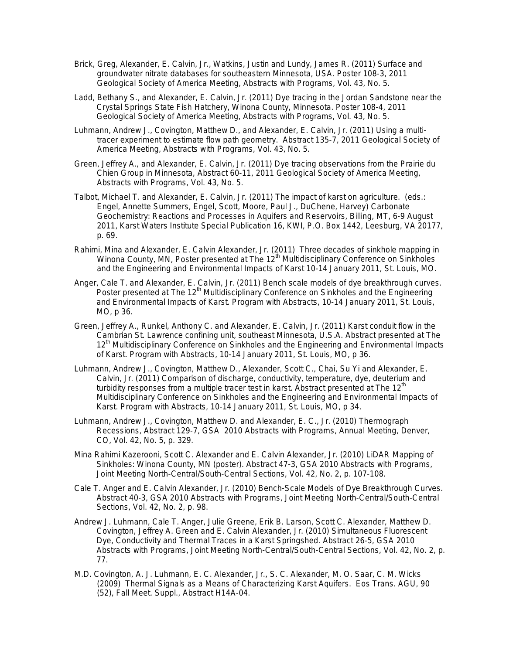- Brick, Greg, Alexander, E. Calvin, Jr., Watkins, Justin and Lundy, James R. (2011) Surface and groundwater nitrate databases for southeastern Minnesota, USA. Poster 108-3, 2011 Geological Society of America Meeting, *Abstracts with Programs*, Vol. 43, No. 5.
- Ladd, Bethany S., and Alexander, E. Calvin, Jr. (2011) Dye tracing in the Jordan Sandstone near the Crystal Springs State Fish Hatchery, Winona County, Minnesota. Poster 108-4, 2011 Geological Society of America Meeting, *Abstracts with Programs*, Vol. 43, No. 5.
- Luhmann, Andrew J., Covington, Matthew D., and Alexander, E. Calvin, Jr. (2011) Using a multitracer experiment to estimate flow path geometry. Abstract 135-7, 2011 Geological Society of America Meeting, *Abstracts with Programs*, Vol. 43, No. 5.
- Green, Jeffrey A., and Alexander, E. Calvin, Jr. (2011) Dye tracing observations from the Prairie du Chien Group in Minnesota, Abstract 60-11, 2011 Geological Society of America Meeting, *Abstracts with Programs*, Vol. 43, No. 5.
- Talbot, Michael T. and Alexander, E. Calvin, Jr. (2011) The impact of karst on agriculture. (*eds.: Engel, Annette Summers, Engel, Scott, Moore, Paul J., DuChene, Harvey)* Carbonate Geochemistry: Reactions and Processes in Aquifers and Reservoirs, Billing, MT, 6-9 August 2011, Karst Waters Institute Special Publication 16, KWI, P.O. Box 1442, Leesburg, VA 20177, p. 69.
- Rahimi, Mina and Alexander, E. Calvin Alexander, Jr. (2011) Three decades of sinkhole mapping in Winona County, MN, Poster presented at The 12<sup>th</sup> Multidisciplinary Conference on Sinkholes and the Engineering and Environmental Impacts of Karst 10-14 January 2011, St. Louis, MO.
- Anger, Cale T. and Alexander, E. Calvin, Jr. (2011) Bench scale models of dye breakthrough curves. Poster presented at The 12<sup>th</sup> Multidisciplinary Conference on Sinkholes and the Engineering and Environmental Impacts of Karst. Program with Abstracts, 10-14 January 2011, St. Louis, MO, p 36.
- Green, Jeffrey A., Runkel, Anthony C. and Alexander, E. Calvin, Jr. (2011) Karst conduit flow in the Cambrian St. Lawrence confining unit, southeast Minnesota, U.S.A. Abstract presented at The 12<sup>th</sup> Multidisciplinary Conference on Sinkholes and the Engineering and Environmental Impacts of Karst. Program with Abstracts, 10-14 January 2011, St. Louis, MO, p 36.
- Luhmann, Andrew J., Covington, Matthew D., Alexander, Scott C., Chai, Su Yi and Alexander, E. Calvin, Jr. (2011) Comparison of discharge, conductivity, temperature, dye, deuterium and turbidity responses from a multiple tracer test in karst. Abstract presented at The  $12<sup>th</sup>$ Multidisciplinary Conference on Sinkholes and the Engineering and Environmental Impacts of Karst. Program with Abstracts, 10-14 January 2011, St. Louis, MO, p 34.
- Luhmann, Andrew J., Covington, Matthew D. and Alexander, E. C., Jr. (2010) Thermograph Recessions, Abstract 129-7, GSA 2010 Abstracts with Programs, Annual Meeting, Denver, CO, Vol. 42, No. 5, p. 329.
- Mina Rahimi Kazerooni, Scott C. Alexander and E. Calvin Alexander, Jr. (2010) LiDAR Mapping of Sinkholes: Winona County, MN (poster). Abstract 47-3, GSA 2010 Abstracts with Programs, Joint Meeting North-Central/South-Central Sections, Vol. 42, No. 2, p. 107-108.
- Cale T. Anger and E. Calvin Alexander, Jr. (2010) Bench-Scale Models of Dye Breakthrough Curves. Abstract 40-3, GSA 2010 Abstracts with Programs, Joint Meeting North-Central/South-Central Sections, Vol. 42, No. 2, p. 98.
- Andrew J. Luhmann, Cale T. Anger, Julie Greene, Erik B. Larson, Scott C. Alexander, Matthew D. Covington, Jeffrey A. Green and E. Calvin Alexander, Jr. (2010) Simultaneous Fluorescent Dye, Conductivity and Thermal Traces in a Karst Springshed. Abstract 26-5, GSA 2010 Abstracts with Programs, Joint Meeting North-Central/South-Central Sections, Vol. 42, No. 2, p. 77.
- M.D. Covington, A. J. Luhmann, E. C. Alexander, Jr., S. C. Alexander, M. O. Saar, C. M. Wicks (2009) Thermal Signals as a Means of Characterizing Karst Aquifers. Eos Trans. AGU, 90 (52), Fall Meet. Suppl., Abstract H14A-04.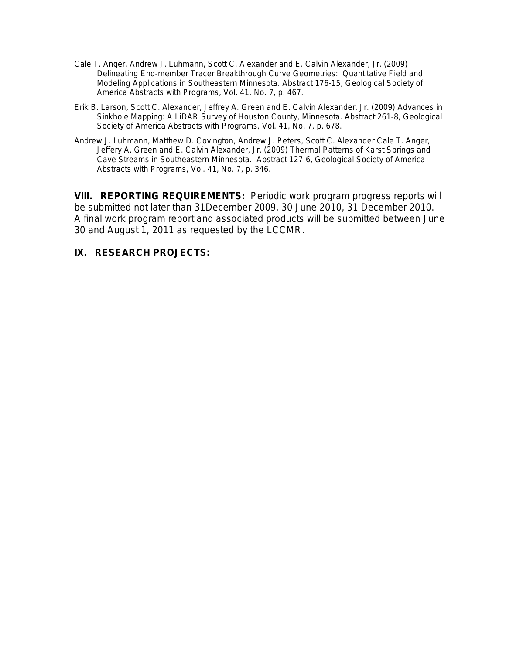- Cale T. Anger, Andrew J. Luhmann, Scott C. Alexander and E. Calvin Alexander, Jr. (2009) Delineating End-member Tracer Breakthrough Curve Geometries: Quantitative Field and Modeling Applications in Southeastern Minnesota. Abstract 176-15, Geological Society of America *Abstracts with Programs*, Vol. 41, No. 7, p. 467.
- Erik B. Larson, Scott C. Alexander, Jeffrey A. Green and E. Calvin Alexander, Jr. (2009) Advances in Sinkhole Mapping: A LiDAR Survey of Houston County, Minnesota. Abstract 261-8, Geological Society of America *Abstracts with Programs*, Vol. 41, No. 7, p. 678.
- Andrew J. Luhmann, Matthew D. Covington, Andrew J. Peters, Scott C. Alexander Cale T. Anger, Jeffery A. Green and E. Calvin Alexander, Jr. (2009) Thermal Patterns of Karst Springs and Cave Streams in Southeastern Minnesota. Abstract 127-6, Geological Society of America *Abstracts with Programs*, Vol. 41, No. 7, p. 346.

**VIII. REPORTING REQUIREMENTS:** Periodic work program progress reports will be submitted not later than 31December 2009, 30 June 2010, 31 December 2010. A final work program report and associated products will be submitted between June 30 and August 1, 2011 as requested by the LCCMR.

### **IX. RESEARCH PROJECTS:**